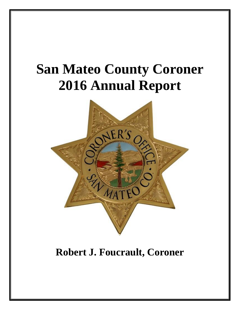# **San Mateo County Coroner 2016 Annual Report**



**Robert J. Foucrault, Coroner**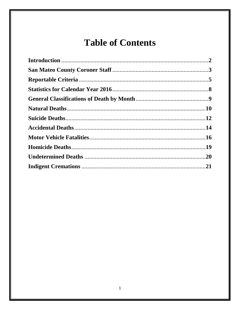## **Table of Contents**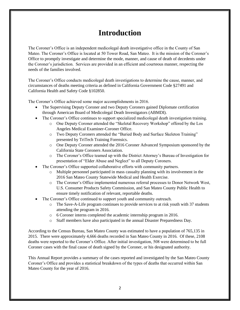### **Introduction**

The Coroner's Office is an independent medicolegal death investigative office in the County of San Mateo. The Coroner's Office is located at 50 Tower Road, San Mateo. It is the mission of the Coroner's Office to promptly investigate and determine the mode, manner, and cause of death of decedents under the Coroner's jurisdiction. Services are provided in an efficient and courteous manner, respecting the needs of the families involved.

The Coroner's Office conducts medicolegal death investigations to determine the cause, manner, and circumstances of deaths meeting criteria as defined in California Government Code §27491 and California Health and Safety Code §102850.

The Coroner's Office achieved some major accomplishments in 2016.

- The Supervising Deputy Coroner and two Deputy Coroners gained Diplomate certification through American Board of Medicolegal Death Investigators (ABMDI).
- The Coroner's Office continues to support specialized medicolegal death investigation training.
	- o One Deputy Coroner attended the "Skeletal Recovery Workshop" offered by the Los Angeles Medical Examiner-Coroner Office.
	- o Two Deputy Coroners attended the "Buried Body and Surface Skeleton Training" presented by TriTech Training Forensics.
	- o One Deputy Coroner attended the 2016 Coroner Advanced Symposium sponsored by the California State Coroners Association.
	- o The Coroner's Office teamed up with the District Attorney's Bureau of Investigation for presentation of "Elder Abuse and Neglect" to all Deputy Coroners.
- The Coroner's Office supported collaborative efforts with community partners.
	- o Multiple personnel participated in mass casualty planning with its involvement in the 2016 San Mateo County Statewide Medical and Health Exercise.
	- o The Coroner's Office implemented numerous referral processes to Donor Network West, U.S. Consumer Products Safety Commission, and San Mateo County Public Health to ensure timely notification of relevant, reportable deaths.
- The Coroner's Office continued to support youth and community outreach.
	- o The Save-A-Life program continues to provide services to at risk youth with 37 students attending the program in 2016.
	- o 6 Coroner interns completed the academic internship program in 2016.
	- o Staff members have also participated in the annual Disaster Preparedness Day.

According to the Census Bureau, San Mateo County was estimated to have a population of 765,135 in 2015. There were approximately 4,666 deaths recorded in San Mateo County in 2016. Of these, 2108 deaths were reported to the Coroner's Office. After initial investigation, 508 were determined to be full Coroner cases with the final cause of death signed by the Coroner, or his designated authority.

This Annual Report provides a summary of the cases reported and investigated by the San Mateo County Coroner's Office and provides a statistical breakdown of the types of deaths that occurred within San Mateo County for the year of 2016.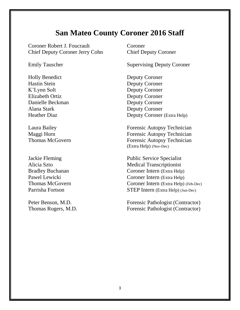### **San Mateo County Coroner 2016 Staff**

Coroner Robert J. Foucrault Coroner Chief Deputy Coroner Jerry Cohn Chief Deputy Coroner

Holly Benedict Deputy Coroner Hastin Stein Deputy Coroner K'Lynn Solt Deputy Coroner Elizabeth Ortiz Deputy Coroner Danielle Beckman Deputy Coroner Alana Stark Deputy Coroner

Emily Tauscher Supervising Deputy Coroner

Heather Diaz Deputy Coroner (Extra Help)

Laura Bailey Forensic Autopsy Technician Maggi Horn Forensic Autopsy Technician Thomas McGovern Forensic Autopsy Technician (Extra Help) (Nov-Dec)

Jackie Fleming Public Service Specialist Alicia Szto Medical Transcriptionist Bradley Buchanan Coroner Intern (Extra Help) Pawel Lewicki Coroner Intern (Extra Help) Thomas McGovern Coroner Intern (Extra Help) (Feb-Dec) Parrisha Fortson STEP Intern (Extra Help) (Jun-Dec)

Peter Benson, M.D. Forensic Pathologist (Contractor) Thomas Rogers, M.D. Forensic Pathologist (Contractor)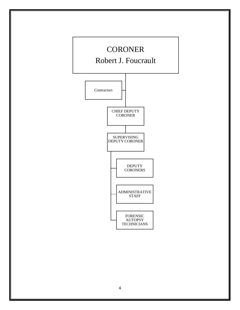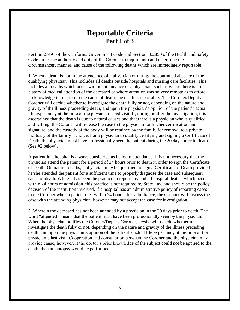#### **Reportable Criteria Part 1 of 3**

Section 27491 of the California Government Code and Section 102850 of the Health and Safety Code direct the authority and duty of the Coroner to inquire into and determine the circumstances, manner, and cause of the following deaths which are immediately reportable:

1. When a death is not in the attendance of a physician or during the continued absence of the qualifying physician. This includes all deaths outside hospitals and nursing care facilities. This includes all deaths which occur without attendance of a physician, such as where there is no history of medical attention of the deceased or where attention was so very remote as to afford no knowledge in relation to the cause of death, the death is reportable. The Coroner/Deputy Coroner will decide whether to investigate the death fully or not, depending on the nature and gravity of the illness proceeding death, and upon the physician's opinion of the patient's actual life expectancy at the time of the physician's last visit. If, during or after the investigation, it is ascertained that the death is due to natural causes and that there is a physician who is qualified and willing, the Coroner will release the case to the physician for his/her certification and signature, and the custody of the body will be retained by the family for removal to a private mortuary of the family's choice. For a physician to qualify certifying and signing a Certificate of Death, the physician must have professionally seen the patient during the 20 days prior to death. (See #2 below).

A patient in a hospital is always considered as being in attendance. It is not necessary that the physician attend the patient for a period of 24 hours prior to death in order to sign the Certificate of Death. On natural deaths, a physician may be qualified to sign a Certificate of Death provided he/she attended the patient for a sufficient time to properly diagnose the case and subsequent cause of death. While it has been the practice to report any and all hospital deaths, which occur within 24 hours of admission, this practice is not required by State Law and should be the policy decision of the institution involved. If a hospital has an administrative policy of reporting cases to the Coroner when a patient dies within 24 hours after admittance, the Coroner will discuss the case with the attending physician; however may not accept the case for investigation.

2. Wherein the deceased has not been attended by a physician in the 20 days prior to death. The word "attended" means that the patient must have been professionally seen by the physician. When the physician notifies the Coroner/Deputy Coroner, he/she will decide whether to investigate the death fully or not, depending on the nature and gravity of the illness preceding death, and upon the physician's opinion of the patient's actual life expectancy at the time of the physician's last visit. Cooperation and consultation between the Coroner and the physician may provide cause; however, if the doctor's prior knowledge of the subject could not be applied to the death, then an autopsy would be performed.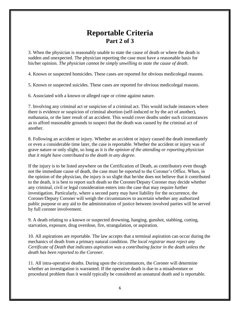### **Reportable Criteria Part 2 of 3**

3. When the physician is reasonably unable to state the cause of death or where the death is sudden and unexpected. The physician reporting the case must have a reasonable basis for his/her opinion. *The physician cannot be simply unwilling to state the cause of death*.

4. Known or suspected homicides. These cases are reported for obvious medicolegal reasons.

5. Known or suspected suicides. These cases are reported for obvious medicolegal reasons.

6. Associated with a known or alleged rape or crime against nature.

7. Involving any criminal act or suspicion of a criminal act. This would include instances where there is evidence or suspicion of criminal abortion (self-induced or by the act of another), euthanasia, or the later result of an accident. This would cover deaths under such circumstances as to afford reasonable grounds to suspect that the death was caused by the criminal act of another.

8. Following an accident or injury. Whether an accident or injury caused the death immediately or even a considerable time later, the case is reportable. Whether the accident or injury was of grave nature or only slight, so long as it *is the opinion of the attending or reporting physician that it might have contributed to the death in any degree.*

If the injury is to be listed anywhere on the Certification of Death, as contributory even though not the immediate cause of death, the case must be reported to the Coroner's Office. When, in the opinion of the physician, the injury is so slight that he/she does not believe that it contributed to the death, it is best to report such death so the Coroner/Deputy Coroner may decide whether any criminal, civil or legal consideration enters into the case that may require further investigation. Particularly, where a second party may have liability for the occurrence, the Coroner/Deputy Coroner will weigh the circumstances to ascertain whether any authorized public purpose or any aid to the administration of justice between involved parties will be served by full coroner involvement.

9. A death relating to a known or suspected drowning, hanging, gunshot, stabbing, cutting, starvation, exposure, drug overdose, fire, strangulation, or aspiration.

10. All aspirations are reportable. The law accepts that a terminal aspiration can occur during the mechanics of death from a primary natural condition. *The local registrar must reject any Certificate of Death that indicates aspiration was a contributing factor in the death unless the death has been reported to the Coroner.*

11. All intra-operative deaths. During upon the circumstances, the Coroner will determine whether an investigation is warranted. If the operative death is due to a misadventure or procedural problem than it would typically be considered an unnatural death and is reportable.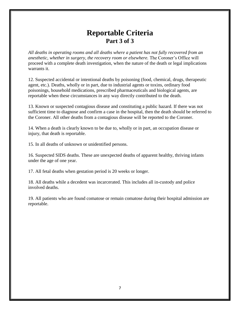### **Reportable Criteria Part 3 of 3**

*All deaths in operating rooms and all deaths where a patient has not fully recovered from an anesthetic, whether in surgery, the recovery room or elsewhere.* The Coroner's Office will proceed with a complete death investigation, when the nature of the death or legal implications warrants it.

12. Suspected accidental or intentional deaths by poisoning (food, chemical, drugs, therapeutic agent, etc.). Deaths, wholly or in part, due to industrial agents or toxins, ordinary food poisonings, household medications, prescribed pharmaceuticals and biological agents, are reportable when these circumstances in any way directly contributed to the death.

13. Known or suspected contagious disease and constituting a public hazard. If there was not sufficient time to diagnose and confirm a case in the hospital, then the death should be referred to the Coroner. All other deaths from a contagious disease will be reported to the Coroner.

14. When a death is clearly known to be due to, wholly or in part, an occupation disease or injury, that death is reportable.

15. In all deaths of unknown or unidentified persons.

16. Suspected SIDS deaths. These are unexpected deaths of apparent healthy, thriving infants under the age of one year.

17. All fetal deaths when gestation period is 20 weeks or longer.

18. All deaths while a decedent was incarcerated. This includes all in-custody and police involved deaths.

19. All patients who are found comatose or remain comatose during their hospital admission are reportable.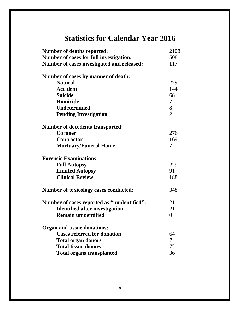### **Statistics for Calendar Year 2016**

| <b>Number of deaths reported:</b>            | 2108           |
|----------------------------------------------|----------------|
| Number of cases for full investigation:      | 508            |
| Number of cases investigated and released:   | 117            |
| Number of cases by manner of death:          |                |
| <b>Natural</b>                               | 279            |
| <b>Accident</b>                              | 144            |
| <b>Suicide</b>                               | 68             |
| Homicide                                     | $\tau$         |
| <b>Undetermined</b>                          | 8              |
| <b>Pending Investigation</b>                 | $\overline{2}$ |
| <b>Number of decedents transported:</b>      |                |
| <b>Coroner</b>                               | 276            |
| <b>Contractor</b>                            | 169            |
| <b>Mortuary/Funeral Home</b>                 | $\tau$         |
| <b>Forensic Examinations:</b>                |                |
| <b>Full Autopsy</b>                          | 229            |
| <b>Limited Autopsy</b>                       | 91             |
| <b>Clinical Review</b>                       | 188            |
| <b>Number of toxicology cases conducted:</b> | 348            |
| Number of cases reported as "unidentified":  | 21             |
| <b>Identified after investigation</b>        | 21             |
| <b>Remain unidentified</b>                   | $\theta$       |
| <b>Organ and tissue donations:</b>           |                |
| <b>Cases referred for donation</b>           | 64             |
| <b>Total organ donors</b>                    | 7              |
| <b>Total tissue donors</b>                   | 72             |
| <b>Total organs transplanted</b>             | 36             |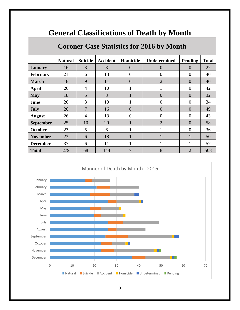| Coroner Case Statistics for 2016 by Month |                |                |                 |                |                     |                |              |
|-------------------------------------------|----------------|----------------|-----------------|----------------|---------------------|----------------|--------------|
|                                           | <b>Natural</b> | <b>Suicide</b> | <b>Accident</b> | Homicide       | <b>Undetermined</b> | Pending        | <b>Total</b> |
| <b>January</b>                            | 16             | 3              | 8               | $\overline{0}$ | $\overline{0}$      | $\overline{0}$ | 27           |
| <b>February</b>                           | 21             | 6              | 13              | $\overline{0}$ | $\theta$            | $\theta$       | 40           |
| <b>March</b>                              | 18             | 9              | 11              | $\overline{0}$ | $\overline{2}$      | $\overline{0}$ | 40           |
| <b>April</b>                              | 26             | 4              | 10              |                |                     | $\overline{0}$ | 42           |
| <b>May</b>                                | 18             | 5              | 8               |                | $\theta$            | $\theta$       | 32           |
| June                                      | 20             | 3              | 10              |                | $\Omega$            | $\overline{0}$ | 34           |
| <b>July</b>                               | 26             | $\overline{7}$ | 16              | $\overline{0}$ | $\Omega$            | $\overline{0}$ | 49           |
| <b>August</b>                             | 26             | 4              | 13              | $\overline{0}$ | $\theta$            | $\theta$       | 43           |
| <b>September</b>                          | 25             | 10             | 20              |                | $\overline{2}$      | $\overline{0}$ | 58           |
| <b>October</b>                            | 23             | $\mathfrak{S}$ | 6               |                |                     | $\theta$       | 36           |
| <b>November</b>                           | 23             | 6              | 18              |                |                     | 1              | 50           |
| <b>December</b>                           | 37             | 6              | 11              |                |                     | 1              | 57           |
| <b>Total</b>                              | 279            | 68             | 144             | 7              | 8                   | $\overline{2}$ | 508          |

### **General Classifications of Death by Month**



#### **Coroner Case Statistics for 2016 by Month**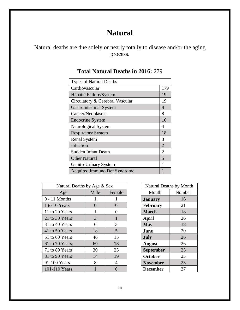### **Natural**

Natural deaths are due solely or nearly totally to disease and/or the aging process.

| <b>Types of Natural Deaths</b>  |                |
|---------------------------------|----------------|
| Cardiovascular                  | 179            |
| Hepatic Failure/System          | 19             |
| Circulatory & Cerebral Vascular | 19             |
| <b>Gastrointestinal System</b>  | 8              |
| Cancer/Neoplasms                | 8              |
| <b>Endocrine System</b>         | 10             |
| Neurological System             | 4              |
| <b>Respiratory System</b>       | 18             |
| <b>Renal System</b>             | 3              |
| Infection                       | $\overline{2}$ |
| <b>Sudden Infant Death</b>      | 2              |
| <b>Other Natural</b>            | 5              |
| Genito-Urinary System           |                |
| Acquired Immuno Def Syndrome    |                |

#### **Total Natural Deaths in 2016:** 279

| Natural Deaths by Age & Sex |          |                | <b>Natural Deaths by Month</b> |        |
|-----------------------------|----------|----------------|--------------------------------|--------|
| Age                         | Male     | Female         | Month                          | Number |
| $0 - 11$ Months             | 1        | 1              | <b>January</b>                 | 16     |
| 1 to 10 Years               | $\Omega$ | $\Omega$       | February                       | 21     |
| 11 to 20 Years              | 1        | 0              | <b>March</b>                   | 18     |
| 21 to 30 Years              | 3        |                | April                          | 26     |
| 31 to 40 Years              | 6        | 3              | <b>May</b>                     | 18     |
| 41 to 50 Years              | 18       | 5              | June                           | 20     |
| 51 to 60 Years              | 46       | 15             | July                           | 26     |
| 61 to 70 Years              | 60       | 18             | <b>August</b>                  | 26     |
| 71 to 80 Years              | 30       | 25             | <b>September</b>               | 25     |
| 81 to 90 Years              | 14       | 19             | <b>October</b>                 | 23     |
| 91-100 Years                | 8        | $\overline{4}$ | <b>November</b>                | 23     |
| 101-110 Years               |          | $\Omega$       | <b>December</b>                | 37     |

| Natural Deaths by Month |        |  |  |
|-------------------------|--------|--|--|
| Month                   | Number |  |  |
| <b>January</b>          | 16     |  |  |
| February                | 21     |  |  |
| <b>March</b>            | 18     |  |  |
| <b>April</b>            | 26     |  |  |
| <b>May</b>              | 18     |  |  |
| June                    | 20     |  |  |
| <b>July</b>             | 26     |  |  |
| <b>August</b>           | 26     |  |  |
| September               | 25     |  |  |
| October                 | 23     |  |  |
| <b>November</b>         | 23     |  |  |
| <b>December</b>         | 37     |  |  |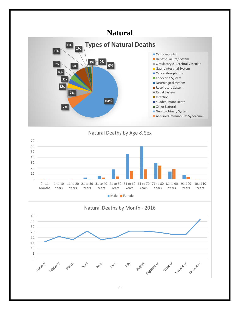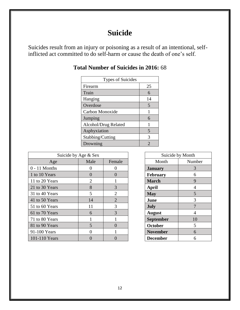### **Suicide**

Suicides result from an injury or poisoning as a result of an intentional, selfinflicted act committed to do self-harm or cause the death of one's self.

| <b>Types of Suicides</b> |    |  |  |
|--------------------------|----|--|--|
| Firearm                  | 25 |  |  |
| Train                    | 6  |  |  |
| Hanging                  | 14 |  |  |
| Overdose                 | 5  |  |  |
| Carbon Monoxide          | 1  |  |  |
| Jumping                  | 6  |  |  |
| Alcohol/Drug Related     | 1  |  |  |
| Asphyxiation             | 5  |  |  |
| Stabbing/Cutting         | 3  |  |  |
| Drowning                 | 2  |  |  |

#### **Total Number of Suicides in 2016:** 68

|                 | Suicide by Age & Sex |                |                  | Suicide by Month |
|-----------------|----------------------|----------------|------------------|------------------|
| Age             | Male                 | Female         | Month            | Number           |
| $0 - 11$ Months | $\Omega$             | 0              | <b>January</b>   | 3                |
| 1 to 10 Years   | $\theta$             | 0              | <b>February</b>  | 6                |
| 11 to 20 Years  | $\overline{2}$       |                | <b>March</b>     | 9                |
| 21 to 30 Years  | 8                    | 3              | April            | 4                |
| 31 to 40 Years  | 5                    | $\overline{2}$ | <b>May</b>       | 5                |
| 41 to 50 Years  | 14                   | $\overline{2}$ | June             | 3                |
| 51 to 60 Years  | 11                   | 3              | July             |                  |
| 61 to 70 Years  | 6                    | 3              | <b>August</b>    |                  |
| 71 to 80 Years  |                      |                | <b>September</b> | 10               |
| 81 to 90 Years  | 5                    | 0              | <b>October</b>   | 5                |
| 91-100 Years    |                      |                | <b>November</b>  | 6                |
| 101-110 Years   |                      |                | <b>December</b>  | 6                |

| Suicide by Month |        |  |  |
|------------------|--------|--|--|
| Month            | Number |  |  |
| <b>January</b>   | 3      |  |  |
| February         | 6      |  |  |
| <b>March</b>     | 9      |  |  |
| April            | 4      |  |  |
| <b>May</b>       | 5      |  |  |
| June             | 3      |  |  |
| <b>July</b>      | 7      |  |  |
| <b>August</b>    | 4      |  |  |
| <b>September</b> | 10     |  |  |
| October          | 5      |  |  |
| <b>November</b>  | 6      |  |  |
| <b>December</b>  | 6      |  |  |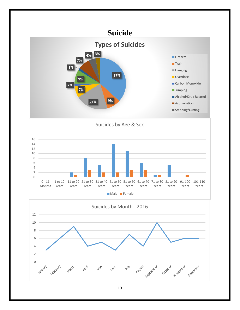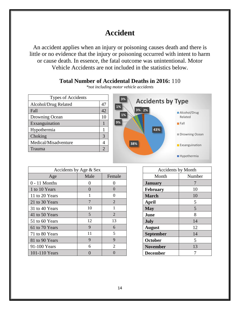### **Accident**

An accident applies when an injury or poisoning causes death and there is little or no evidence that the injury or poisoning occurred with intent to harm or cause death. In essence, the fatal outcome was unintentional. Motor Vehicle Accidents are not included in the statistics below.

#### **Total Number of Accidental Deaths in 2016:** 110

| <b>Types of Accidents</b> |    |
|---------------------------|----|
| Alcohol/Drug Related      | 47 |
| Fall                      | 42 |
| Drowning Ocean            | 10 |
| Exsanguination            |    |
| Hypothermia               |    |
| Choking                   | 3  |
| Medical/Misadventure      |    |
| Trauma                    | 2  |

*\*not including motor vehicle accidents*



|                 | Accidents by Age $&$ Sex |                | <b>Accidents by Month</b> |        |
|-----------------|--------------------------|----------------|---------------------------|--------|
| Age             | Male                     | Female         | Month                     | Number |
| $0 - 11$ Months | 0                        | $\Omega$       | <b>January</b>            |        |
| 1 to 10 Years   | $\Omega$                 | $\Omega$       | <b>February</b>           | 10     |
| 11 to 20 Years  | 1                        | $\Omega$       | <b>March</b>              | 10     |
| 21 to 30 Years  | 7                        | $\overline{2}$ | April                     | 5      |
| 31 to 40 Years  | 10                       | 1              | <b>May</b>                | 5      |
| 41 to 50 Years  | 5                        | $\overline{2}$ | June                      | 8      |
| 51 to 60 Years  | 12                       | 13             | July                      | 14     |
| 61 to 70 Years  | 9                        | 6              | <b>August</b>             | 12     |
| 71 to 80 Years  | 11                       | 5              | <b>September</b>          | 14     |
| 81 to 90 Years  | 9                        | 9              | <b>October</b>            | 5      |
| 91-100 Years    | 6                        | $\overline{2}$ | <b>November</b>           | 13     |
| 101-110 Years   | 0                        | $\Omega$       | <b>December</b>           |        |

| <b>Accidents by Month</b> |        |  |  |
|---------------------------|--------|--|--|
| Month                     | Number |  |  |
| <b>January</b>            | 7      |  |  |
| February                  | 10     |  |  |
| <b>March</b>              | 10     |  |  |
| April                     | 5      |  |  |
| <b>May</b>                | 5      |  |  |
| June                      | 8      |  |  |
| <b>July</b>               | 14     |  |  |
| <b>August</b>             | 12     |  |  |
| September                 | 14     |  |  |
| October                   | 5      |  |  |
| <b>November</b>           | 13     |  |  |
| <b>December</b>           |        |  |  |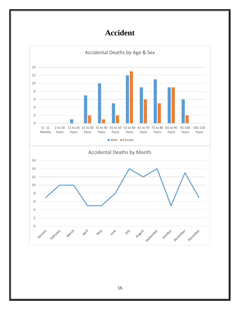### **Accident**

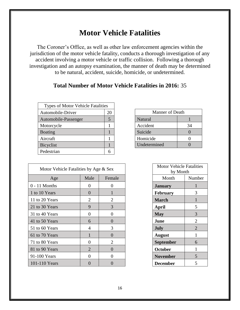### **Motor Vehicle Fatalities**

The Coroner's Office, as well as other law enforcement agencies within the jurisdiction of the motor vehicle fatality, conducts a thorough investigation of any accident involving a motor vehicle or traffic collision. Following a thorough investigation and an autopsy examination, the manner of death may be determined to be natural, accident, suicide, homicide, or undetermined.

#### **Total Number of Motor Vehicle Fatalities in 2016:** 35

| <b>Types of Motor Vehicle Fatalities</b> |    |              |                 |              |
|------------------------------------------|----|--------------|-----------------|--------------|
| Automobile-Driver                        | 20 |              | Manner of Death |              |
| Automobile-Passenger                     | 5  | Natural      |                 |              |
| Motorcycle                               |    | Accident     |                 | 34           |
| <b>Boating</b>                           |    | Suicide      |                 | $\mathbf{0}$ |
| Aircraft                                 |    | Homicide     |                 |              |
| Bicyclist                                |    | Undetermined |                 |              |
| Pedestrian                               | 6  |              |                 |              |

| Motor Vehicle Fatalities by Age & Sex |                | <b>Motor Vehicle Fatalities</b><br>by Month |                  |                       |
|---------------------------------------|----------------|---------------------------------------------|------------------|-----------------------|
| Age                                   | Male           | Female                                      | Month            | Number                |
| $0 - 11$ Months                       | $\Omega$       | $\overline{0}$                              | <b>January</b>   |                       |
| 1 to 10 Years                         | $\Omega$       |                                             | <b>February</b>  | 3                     |
| 11 to 20 Years                        | 2              | 2                                           | <b>March</b>     |                       |
| 21 to 30 Years                        | 9              | 3                                           | April            | 5                     |
| 31 to 40 Years                        | $\Omega$       | $\theta$                                    | <b>May</b>       | 3                     |
| 41 to 50 Years                        | 6              | 0                                           | June             | $\overline{2}$        |
| 51 to 60 Years                        | 4              | 3                                           | <b>July</b>      | $\mathcal{D}_{\cdot}$ |
| 61 to 70 Years                        |                | $\theta$                                    | <b>August</b>    | 1                     |
| 71 to 80 Years                        | $\Omega$       | 2                                           | <b>September</b> | 6                     |
| 81 to 90 Years                        | $\overline{2}$ | $\Omega$                                    | <b>October</b>   |                       |
| 91-100 Years                          | $\Omega$       | 0                                           | <b>November</b>  | 5                     |
| 101-110 Years                         | $\theta$       | 0                                           | <b>December</b>  | 5                     |

| <b>Manner of Death</b> |    |  |  |
|------------------------|----|--|--|
| Natural                |    |  |  |
| Accident               | 34 |  |  |
| Suicide                |    |  |  |
| Homicide               |    |  |  |
| Undetermined           |    |  |  |

| <b>Motor Vehicle Fatalities</b> |                |  |  |  |
|---------------------------------|----------------|--|--|--|
| by Month                        |                |  |  |  |
| Month                           | Number         |  |  |  |
| <b>January</b>                  | 1              |  |  |  |
| February                        | 3              |  |  |  |
| <b>March</b>                    |                |  |  |  |
| April                           | 5              |  |  |  |
| <b>May</b>                      | 3              |  |  |  |
| June                            | 2              |  |  |  |
| July                            | $\overline{2}$ |  |  |  |
| <b>August</b>                   | 1              |  |  |  |
| <b>September</b>                | 6              |  |  |  |
| October                         | 1              |  |  |  |
| <b>November</b>                 | 5              |  |  |  |
| December                        | 5              |  |  |  |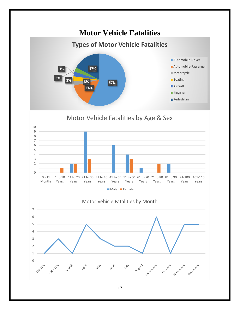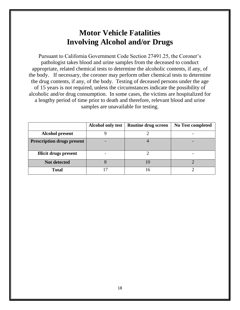### **Motor Vehicle Fatalities Involving Alcohol and/or Drugs**

Pursuant to California Government Code Section 27491.25, the Coroner's pathologist takes blood and urine samples from the deceased to conduct appropriate, related chemical tests to determine the alcoholic contents, if any, of the body. If necessary, the coroner may perform other chemical tests to determine the drug contents, if any, of the body. Testing of deceased persons under the age of 15 years is not required, unless the circumstances indicate the possibility of alcoholic and/or drug consumption. In some cases, the victims are hospitalized for a lengthy period of time prior to death and therefore, relevant blood and urine samples are unavailable for testing.

|                                   | <b>Alcohol only test</b> | Routine drug screen | No Test completed |
|-----------------------------------|--------------------------|---------------------|-------------------|
| <b>Alcohol present</b>            |                          |                     |                   |
| <b>Prescription drugs present</b> |                          |                     |                   |
|                                   |                          |                     |                   |
| <b>Illicit drugs present</b>      |                          |                     |                   |
| Not detected                      |                          | 10                  |                   |
| <b>Total</b>                      |                          | 16                  |                   |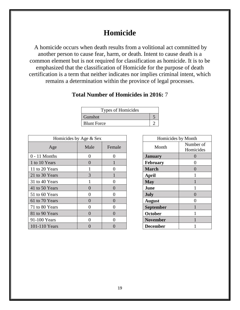### **Homicide**

A homicide occurs when death results from a volitional act committed by another person to cause fear, harm, or death. Intent to cause death is a common element but is not required for classification as homicide. It is to be emphasized that the classification of Homicide for the purpose of death certification is a term that neither indicates nor implies criminal intent, which remains a determination within the province of legal processes.

#### **Total Number of Homicides in 2016:** 7

| Types of Homicides |  |
|--------------------|--|
| Gunshot            |  |
| <b>Blunt Force</b> |  |

| Homicides by Age & Sex |      | Homicides by Month |                  |                        |
|------------------------|------|--------------------|------------------|------------------------|
| Age                    | Male | Female             | Month            | Number of<br>Homicides |
| $0 - 11$ Months        | 0    | 0                  | <b>January</b>   |                        |
| 1 to 10 Years          | 0    |                    | <b>February</b>  |                        |
| 11 to 20 Years         |      |                    | <b>March</b>     |                        |
| 21 to 30 Years         | 3    |                    | April            |                        |
| 31 to 40 Years         |      |                    | <b>May</b>       |                        |
| 41 to 50 Years         |      | 0                  | June             |                        |
| 51 to 60 Years         |      | 0                  | <b>July</b>      |                        |
| 61 to 70 Years         |      |                    | <b>August</b>    |                        |
| 71 to 80 Years         | 0    | O                  | <b>September</b> |                        |
| 81 to 90 Years         |      |                    | <b>October</b>   |                        |
| 91-100 Years           |      | O)                 | <b>November</b>  |                        |
| 101-110 Years          |      |                    | <b>December</b>  |                        |

| Homicides by Month |           |  |  |  |
|--------------------|-----------|--|--|--|
| Month              | Number of |  |  |  |
|                    | Homicides |  |  |  |
| <b>January</b>     | 0         |  |  |  |
| <b>February</b>    | 0         |  |  |  |
| <b>March</b>       | 0         |  |  |  |
| April              | 1         |  |  |  |
| <b>May</b>         | 1         |  |  |  |
| June               | 1         |  |  |  |
| <b>July</b>        | 0         |  |  |  |
| <b>August</b>      | 0         |  |  |  |
| September          | 1         |  |  |  |
| October            | 1         |  |  |  |
| <b>November</b>    |           |  |  |  |
| <b>December</b>    |           |  |  |  |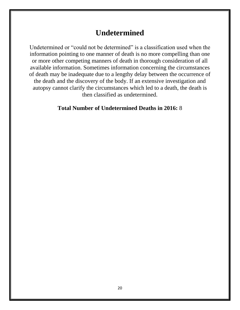### **Undetermined**

Undetermined or "could not be determined" is a classification used when the information pointing to one manner of death is no more compelling than one or more other competing manners of death in thorough consideration of all available information. Sometimes information concerning the circumstances of death may be inadequate due to a lengthy delay between the occurrence of the death and the discovery of the body. If an extensive investigation and autopsy cannot clarify the circumstances which led to a death, the death is then classified as undetermined.

#### **Total Number of Undetermined Deaths in 2016:** 8